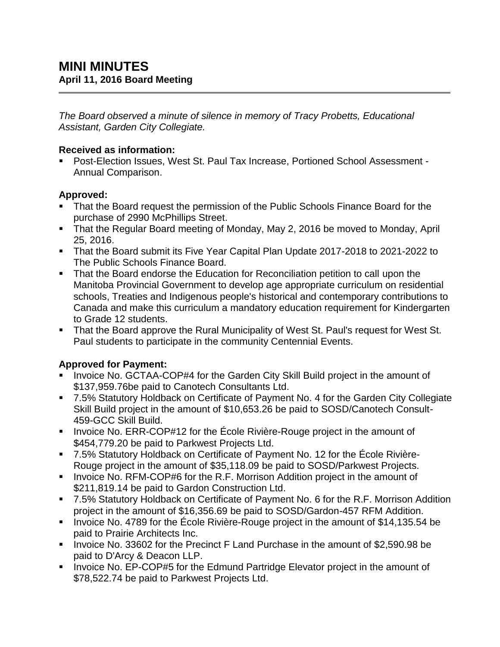*The Board observed a minute of silence in memory of Tracy Probetts, Educational Assistant, Garden City Collegiate.*

#### **Received as information:**

 Post-Election Issues, West St. Paul Tax Increase, Portioned School Assessment - Annual Comparison.

## **Approved:**

- That the Board request the permission of the Public Schools Finance Board for the purchase of 2990 McPhillips Street.
- That the Regular Board meeting of Monday, May 2, 2016 be moved to Monday, April 25, 2016.
- That the Board submit its Five Year Capital Plan Update 2017-2018 to 2021-2022 to The Public Schools Finance Board.
- That the Board endorse the Education for Reconciliation petition to call upon the Manitoba Provincial Government to develop age appropriate curriculum on residential schools, Treaties and Indigenous people's historical and contemporary contributions to Canada and make this curriculum a mandatory education requirement for Kindergarten to Grade 12 students.
- That the Board approve the Rural Municipality of West St. Paul's request for West St. Paul students to participate in the community Centennial Events.

### **Approved for Payment:**

- **Invoice No. GCTAA-COP#4 for the Garden City Skill Build project in the amount of** \$137,959.76be paid to Canotech Consultants Ltd.
- 7.5% Statutory Holdback on Certificate of Payment No. 4 for the Garden City Collegiate Skill Build project in the amount of \$10,653.26 be paid to SOSD/Canotech Consult-459-GCC Skill Build.
- Invoice No. ERR-COP#12 for the École Rivière-Rouge project in the amount of \$454,779.20 be paid to Parkwest Projects Ltd.
- 7.5% Statutory Holdback on Certificate of Payment No. 12 for the École Rivière-Rouge project in the amount of \$35,118.09 be paid to SOSD/Parkwest Projects.
- **Invoice No. RFM-COP#6 for the R.F. Morrison Addition project in the amount of** \$211,819.14 be paid to Gardon Construction Ltd.
- 7.5% Statutory Holdback on Certificate of Payment No. 6 for the R.F. Morrison Addition project in the amount of \$16,356.69 be paid to SOSD/Gardon-457 RFM Addition.
- Invoice No. 4789 for the École Rivière-Rouge project in the amount of \$14,135.54 be paid to Prairie Architects Inc.
- Invoice No. 33602 for the Precinct F Land Purchase in the amount of \$2,590.98 be paid to D'Arcy & Deacon LLP.
- **Invoice No. EP-COP#5 for the Edmund Partridge Elevator project in the amount of** \$78,522.74 be paid to Parkwest Projects Ltd.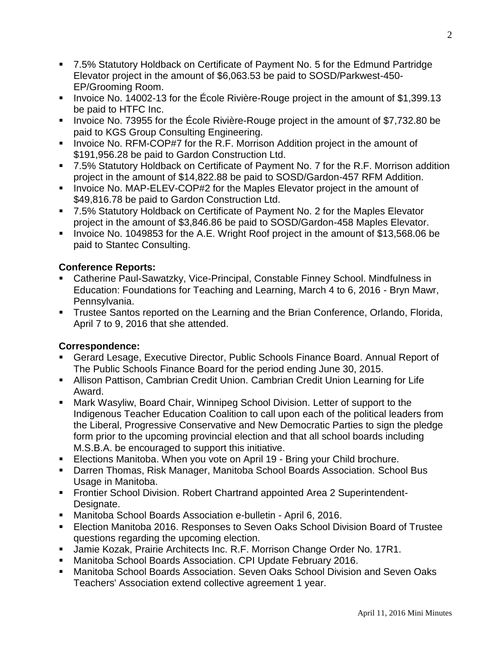- 7.5% Statutory Holdback on Certificate of Payment No. 5 for the Edmund Partridge Elevator project in the amount of \$6,063.53 be paid to SOSD/Parkwest-450- EP/Grooming Room.
- Invoice No. 14002-13 for the École Rivière-Rouge project in the amount of \$1,399.13 be paid to HTFC Inc.
- Invoice No. 73955 for the École Rivière-Rouge project in the amount of \$7,732.80 be paid to KGS Group Consulting Engineering.
- **IDED** Invoice No. RFM-COP#7 for the R.F. Morrison Addition project in the amount of \$191,956.28 be paid to Gardon Construction Ltd.
- 7.5% Statutory Holdback on Certificate of Payment No. 7 for the R.F. Morrison addition project in the amount of \$14,822.88 be paid to SOSD/Gardon-457 RFM Addition.
- **Invoice No. MAP-ELEV-COP#2 for the Maples Elevator project in the amount of** \$49,816.78 be paid to Gardon Construction Ltd.
- 7.5% Statutory Holdback on Certificate of Payment No. 2 for the Maples Elevator project in the amount of \$3,846.86 be paid to SOSD/Gardon-458 Maples Elevator.
- Invoice No. 1049853 for the A.E. Wright Roof project in the amount of \$13,568.06 be paid to Stantec Consulting.

## **Conference Reports:**

- Catherine Paul-Sawatzky, Vice-Principal, Constable Finney School. Mindfulness in Education: Foundations for Teaching and Learning, March 4 to 6, 2016 - Bryn Mawr, Pennsylvania.
- Trustee Santos reported on the Learning and the Brian Conference, Orlando, Florida, April 7 to 9, 2016 that she attended.

# **Correspondence:**

- Gerard Lesage, Executive Director, Public Schools Finance Board. Annual Report of The Public Schools Finance Board for the period ending June 30, 2015.
- Allison Pattison, Cambrian Credit Union. Cambrian Credit Union Learning for Life Award.
- Mark Wasyliw, Board Chair, Winnipeg School Division. Letter of support to the Indigenous Teacher Education Coalition to call upon each of the political leaders from the Liberal, Progressive Conservative and New Democratic Parties to sign the pledge form prior to the upcoming provincial election and that all school boards including M.S.B.A. be encouraged to support this initiative.
- **Elections Manitoba. When you vote on April 19 Bring your Child brochure.**
- Darren Thomas, Risk Manager, Manitoba School Boards Association. School Bus Usage in Manitoba.
- **Frontier School Division. Robert Chartrand appointed Area 2 Superintendent-**Designate.
- Manitoba School Boards Association e-bulletin April 6, 2016.
- Election Manitoba 2016. Responses to Seven Oaks School Division Board of Trustee questions regarding the upcoming election.
- Jamie Kozak, Prairie Architects Inc. R.F. Morrison Change Order No. 17R1.
- Manitoba School Boards Association. CPI Update February 2016.
- Manitoba School Boards Association. Seven Oaks School Division and Seven Oaks Teachers' Association extend collective agreement 1 year.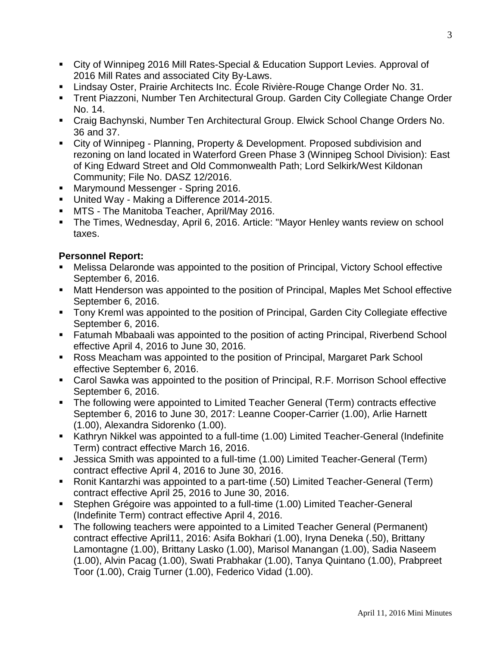- City of Winnipeg 2016 Mill Rates-Special & Education Support Levies. Approval of 2016 Mill Rates and associated City By-Laws.
- Lindsay Oster, Prairie Architects Inc. École Rivière-Rouge Change Order No. 31.
- Trent Piazzoni, Number Ten Architectural Group. Garden City Collegiate Change Order No. 14.
- Craig Bachynski, Number Ten Architectural Group. Elwick School Change Orders No. 36 and 37.
- City of Winnipeg Planning, Property & Development. Proposed subdivision and rezoning on land located in Waterford Green Phase 3 (Winnipeg School Division): East of King Edward Street and Old Commonwealth Path; Lord Selkirk/West Kildonan Community; File No. DASZ 12/2016.
- **Marymound Messenger Spring 2016.**
- United Way Making a Difference 2014-2015.
- **MTS The Manitoba Teacher, April/May 2016.**
- The Times, Wednesday, April 6, 2016. Article: "Mayor Henley wants review on school taxes.

#### **Personnel Report:**

- Melissa Delaronde was appointed to the position of Principal, Victory School effective September 6, 2016.
- Matt Henderson was appointed to the position of Principal, Maples Met School effective September 6, 2016.
- Tony Kreml was appointed to the position of Principal, Garden City Collegiate effective September 6, 2016.
- Fatumah Mbabaali was appointed to the position of acting Principal, Riverbend School effective April 4, 2016 to June 30, 2016.
- Ross Meacham was appointed to the position of Principal, Margaret Park School effective September 6, 2016.
- Carol Sawka was appointed to the position of Principal, R.F. Morrison School effective September 6, 2016.
- The following were appointed to Limited Teacher General (Term) contracts effective September 6, 2016 to June 30, 2017: Leanne Cooper-Carrier (1.00), Arlie Harnett (1.00), Alexandra Sidorenko (1.00).
- Kathryn Nikkel was appointed to a full-time (1.00) Limited Teacher-General (Indefinite Term) contract effective March 16, 2016.
- Jessica Smith was appointed to a full-time (1.00) Limited Teacher-General (Term) contract effective April 4, 2016 to June 30, 2016.
- Ronit Kantarzhi was appointed to a part-time (.50) Limited Teacher-General (Term) contract effective April 25, 2016 to June 30, 2016.
- Stephen Grégoire was appointed to a full-time (1.00) Limited Teacher-General (Indefinite Term) contract effective April 4, 2016.
- The following teachers were appointed to a Limited Teacher General (Permanent) contract effective April11, 2016: Asifa Bokhari (1.00), Iryna Deneka (.50), Brittany Lamontagne (1.00), Brittany Lasko (1.00), Marisol Manangan (1.00), Sadia Naseem (1.00), Alvin Pacag (1.00), Swati Prabhakar (1.00), Tanya Quintano (1.00), Prabpreet Toor (1.00), Craig Turner (1.00), Federico Vidad (1.00).